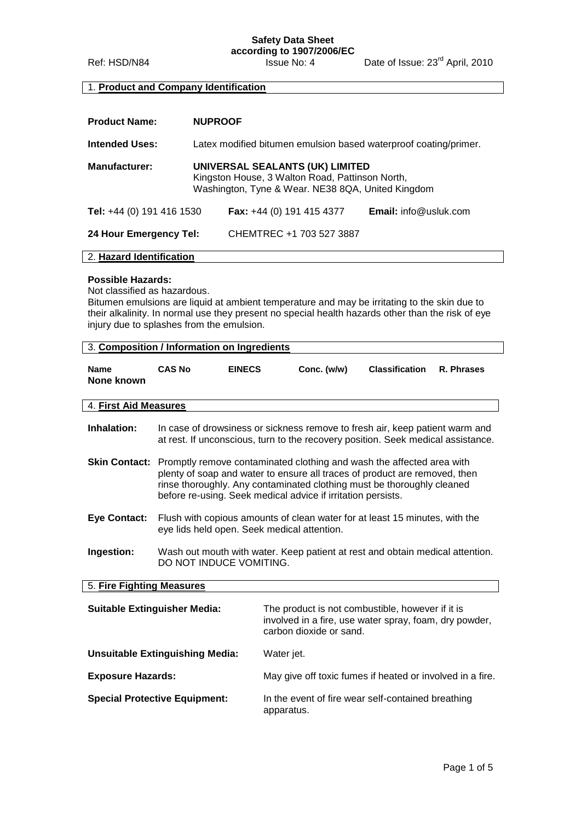# **Safety Data Sheet**

**according to 1907/2006/EC**

Ref: HSD/N84 Issue No: 4 Date of Issue: 23<sup>rd</sup> April, 2010

## 1. **Product and Company Identification**

| <b>Product Name:</b>      | <b>NUPROOF</b>                                                                                                                          |                                    |                              |
|---------------------------|-----------------------------------------------------------------------------------------------------------------------------------------|------------------------------------|------------------------------|
| <b>Intended Uses:</b>     | Latex modified bitumen emulsion based waterproof coating/primer.                                                                        |                                    |                              |
| <b>Manufacturer:</b>      | UNIVERSAL SEALANTS (UK) LIMITED<br>Kingston House, 3 Walton Road, Pattinson North,<br>Washington, Tyne & Wear. NE38 8QA, United Kingdom |                                    |                              |
| Tel: +44 (0) 191 416 1530 |                                                                                                                                         | <b>Fax:</b> $+44$ (0) 191 415 4377 | <b>Email:</b> info@usluk.com |
| 24 Hour Emergency Tel:    |                                                                                                                                         | CHEMTREC +1 703 527 3887           |                              |

## 2. **Hazard Identification**

### **Possible Hazards:**

Not classified as hazardous.

Bitumen emulsions are liquid at ambient temperature and may be irritating to the skin due to their alkalinity. In normal use they present no special health hazards other than the risk of eye injury due to splashes from the emulsion.

|                                        | 3. Composition / Information on Ingredients                                                                                                                                                                                                                                                                        |               |                                                                                                                                                                  |                       |            |
|----------------------------------------|--------------------------------------------------------------------------------------------------------------------------------------------------------------------------------------------------------------------------------------------------------------------------------------------------------------------|---------------|------------------------------------------------------------------------------------------------------------------------------------------------------------------|-----------------------|------------|
| <b>Name</b><br>None known              | <b>CAS No</b>                                                                                                                                                                                                                                                                                                      | <b>EINECS</b> | Conc. (w/w)                                                                                                                                                      | <b>Classification</b> | R. Phrases |
| 4. First Aid Measures                  |                                                                                                                                                                                                                                                                                                                    |               |                                                                                                                                                                  |                       |            |
| Inhalation:                            |                                                                                                                                                                                                                                                                                                                    |               | In case of drowsiness or sickness remove to fresh air, keep patient warm and<br>at rest. If unconscious, turn to the recovery position. Seek medical assistance. |                       |            |
|                                        | <b>Skin Contact:</b> Promptly remove contaminated clothing and wash the affected area with<br>plenty of soap and water to ensure all traces of product are removed, then<br>rinse thoroughly. Any contaminated clothing must be thoroughly cleaned<br>before re-using. Seek medical advice if irritation persists. |               |                                                                                                                                                                  |                       |            |
| <b>Eye Contact:</b>                    | Flush with copious amounts of clean water for at least 15 minutes, with the<br>eye lids held open. Seek medical attention.                                                                                                                                                                                         |               |                                                                                                                                                                  |                       |            |
| Ingestion:                             | Wash out mouth with water. Keep patient at rest and obtain medical attention.<br>DO NOT INDUCE VOMITING.                                                                                                                                                                                                           |               |                                                                                                                                                                  |                       |            |
| 5. Fire Fighting Measures              |                                                                                                                                                                                                                                                                                                                    |               |                                                                                                                                                                  |                       |            |
| <b>Suitable Extinguisher Media:</b>    |                                                                                                                                                                                                                                                                                                                    |               | The product is not combustible, however if it is<br>involved in a fire, use water spray, foam, dry powder,<br>carbon dioxide or sand.                            |                       |            |
| <b>Unsuitable Extinguishing Media:</b> |                                                                                                                                                                                                                                                                                                                    |               | Water jet.                                                                                                                                                       |                       |            |
| <b>Exposure Hazards:</b>               |                                                                                                                                                                                                                                                                                                                    |               | May give off toxic fumes if heated or involved in a fire.                                                                                                        |                       |            |
| <b>Special Protective Equipment:</b>   |                                                                                                                                                                                                                                                                                                                    |               | In the event of fire wear self-contained breathing<br>apparatus.                                                                                                 |                       |            |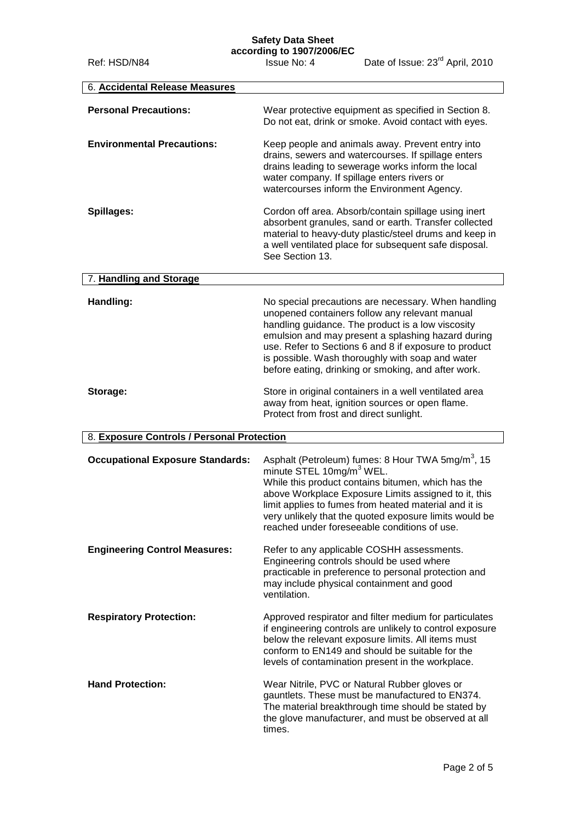### **Safety Data Sheet**

| 6. Accidental Release Measures             |                                                                                                                                                                                                                                                                                                                                                                                        |
|--------------------------------------------|----------------------------------------------------------------------------------------------------------------------------------------------------------------------------------------------------------------------------------------------------------------------------------------------------------------------------------------------------------------------------------------|
| <b>Personal Precautions:</b>               | Wear protective equipment as specified in Section 8.<br>Do not eat, drink or smoke. Avoid contact with eyes.                                                                                                                                                                                                                                                                           |
| <b>Environmental Precautions:</b>          | Keep people and animals away. Prevent entry into<br>drains, sewers and watercourses. If spillage enters<br>drains leading to sewerage works inform the local<br>water company. If spillage enters rivers or<br>watercourses inform the Environment Agency.                                                                                                                             |
| Spillages:                                 | Cordon off area. Absorb/contain spillage using inert<br>absorbent granules, sand or earth. Transfer collected<br>material to heavy-duty plastic/steel drums and keep in<br>a well ventilated place for subsequent safe disposal.<br>See Section 13.                                                                                                                                    |
| 7. Handling and Storage                    |                                                                                                                                                                                                                                                                                                                                                                                        |
| Handling:                                  | No special precautions are necessary. When handling<br>unopened containers follow any relevant manual<br>handling guidance. The product is a low viscosity<br>emulsion and may present a splashing hazard during<br>use. Refer to Sections 6 and 8 if exposure to product<br>is possible. Wash thoroughly with soap and water<br>before eating, drinking or smoking, and after work.   |
| Storage:                                   | Store in original containers in a well ventilated area<br>away from heat, ignition sources or open flame.<br>Protect from frost and direct sunlight.                                                                                                                                                                                                                                   |
| 8. Exposure Controls / Personal Protection |                                                                                                                                                                                                                                                                                                                                                                                        |
| <b>Occupational Exposure Standards:</b>    | Asphalt (Petroleum) fumes: 8 Hour TWA 5mg/m <sup>3</sup> , 15<br>minute STEL 10mg/m <sup>3</sup> WEL.<br>While this product contains bitumen, which has the<br>above Workplace Exposure Limits assigned to it, this<br>limit applies to fumes from heated material and it is<br>very unlikely that the quoted exposure limits would be<br>reached under foreseeable conditions of use. |
| <b>Engineering Control Measures:</b>       | Refer to any applicable COSHH assessments.<br>Engineering controls should be used where<br>practicable in preference to personal protection and<br>may include physical containment and good<br>ventilation.                                                                                                                                                                           |
| <b>Respiratory Protection:</b>             | Approved respirator and filter medium for particulates<br>if engineering controls are unlikely to control exposure<br>below the relevant exposure limits. All items must<br>conform to EN149 and should be suitable for the<br>levels of contamination present in the workplace.                                                                                                       |
| <b>Hand Protection:</b>                    | Wear Nitrile, PVC or Natural Rubber gloves or<br>gauntlets. These must be manufactured to EN374.<br>The material breakthrough time should be stated by<br>the glove manufacturer, and must be observed at all<br>times.                                                                                                                                                                |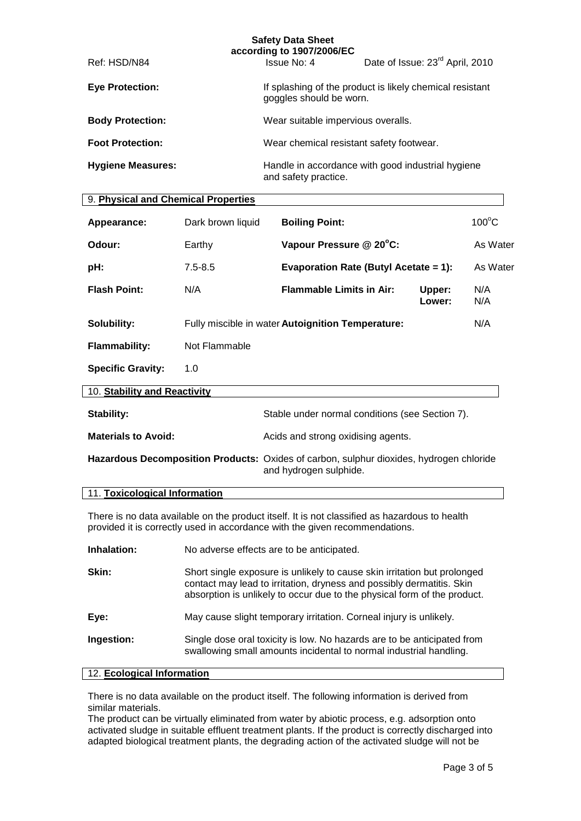|                          | <b>Safety Data Sheet</b><br>according to 1907/2006/EC |                                                                                     |  |  |
|--------------------------|-------------------------------------------------------|-------------------------------------------------------------------------------------|--|--|
| Ref: HSD/N84             | Issue No: 4                                           | Date of Issue: 23 <sup>rd</sup> April, 2010                                         |  |  |
| <b>Eye Protection:</b>   |                                                       | If splashing of the product is likely chemical resistant<br>goggles should be worn. |  |  |
| <b>Body Protection:</b>  | Wear suitable impervious overalls.                    |                                                                                     |  |  |
| <b>Foot Protection:</b>  |                                                       | Wear chemical resistant safety footwear.                                            |  |  |
| <b>Hygiene Measures:</b> | and safety practice.                                  | Handle in accordance with good industrial hygiene                                   |  |  |

### 9. **Physical and Chemical Properties**

| Appearance:                                                                             | Dark brown liquid | <b>Boiling Point:</b>                             |                  | $100^{\circ}$ C |
|-----------------------------------------------------------------------------------------|-------------------|---------------------------------------------------|------------------|-----------------|
| Odour:                                                                                  | Earthy            | Vapour Pressure @ 20°C:                           |                  | As Water        |
| pH:                                                                                     | $7.5 - 8.5$       | <b>Evaporation Rate (Butyl Acetate = 1):</b>      |                  | As Water        |
| <b>Flash Point:</b>                                                                     | N/A               | <b>Flammable Limits in Air:</b>                   | Upper:<br>Lower: | N/A<br>N/A      |
| Solubility:                                                                             |                   | Fully miscible in water Autoignition Temperature: |                  | N/A             |
| <b>Flammability:</b>                                                                    | Not Flammable     |                                                   |                  |                 |
| <b>Specific Gravity:</b>                                                                | 1.0               |                                                   |                  |                 |
| 10. Stability and Reactivity                                                            |                   |                                                   |                  |                 |
| <b>Stability:</b>                                                                       |                   | Stable under normal conditions (see Section 7).   |                  |                 |
| <b>Materials to Avoid:</b>                                                              |                   | Acids and strong oxidising agents.                |                  |                 |
| Hazardous Decomposition Products: Oxides of carbon, sulphur dioxides, hydrogen chloride |                   | and hydrogen sulphide.                            |                  |                 |
| 11. Toxicological Information                                                           |                   |                                                   |                  |                 |

There is no data available on the product itself. It is not classified as hazardous to health provided it is correctly used in accordance with the given recommendations.

| Inhalation: | No adverse effects are to be anticipated.                                                                                                                                                                                     |
|-------------|-------------------------------------------------------------------------------------------------------------------------------------------------------------------------------------------------------------------------------|
| Skin:       | Short single exposure is unlikely to cause skin irritation but prolonged<br>contact may lead to irritation, dryness and possibly dermatitis. Skin<br>absorption is unlikely to occur due to the physical form of the product. |
| Eye:        | May cause slight temporary irritation. Corneal injury is unlikely.                                                                                                                                                            |
| Ingestion:  | Single dose oral toxicity is low. No hazards are to be anticipated from<br>swallowing small amounts incidental to normal industrial handling.                                                                                 |

### 12. **Ecological Information**

There is no data available on the product itself. The following information is derived from similar materials.

The product can be virtually eliminated from water by abiotic process, e.g. adsorption onto activated sludge in suitable effluent treatment plants. If the product is correctly discharged into adapted biological treatment plants, the degrading action of the activated sludge will not be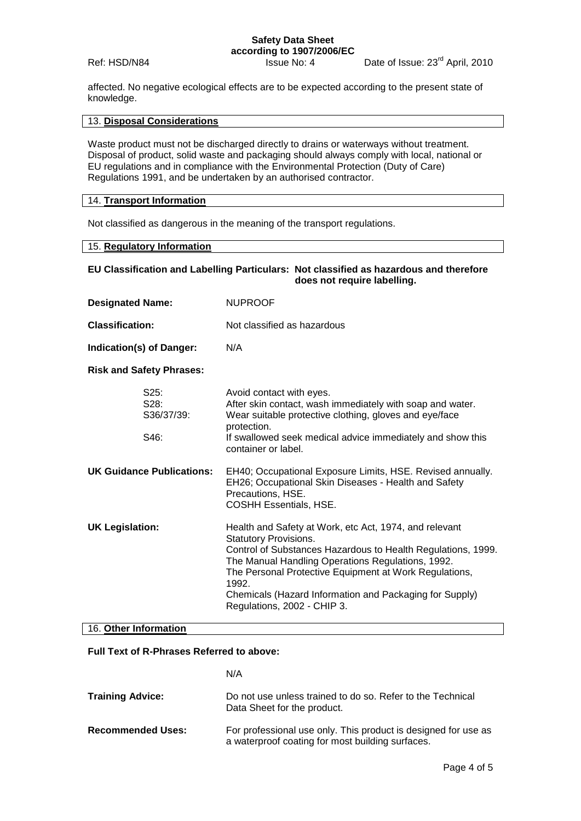## **Safety Data Sheet according to 1907/2006/EC**<br>**ISSUE No: 4**

Ref: HSD/N84 Issue No: 4 Date of Issue: 23<sup>rd</sup> April, 2010

affected. No negative ecological effects are to be expected according to the present state of knowledge.

### 13. **Disposal Considerations**

Waste product must not be discharged directly to drains or waterways without treatment. Disposal of product, solid waste and packaging should always comply with local, national or EU regulations and in compliance with the Environmental Protection (Duty of Care) Regulations 1991, and be undertaken by an authorised contractor.

### 14. **Transport Information**

Not classified as dangerous in the meaning of the transport regulations.

## 15. **Regulatory Information**

### **EU Classification and Labelling Particulars: Not classified as hazardous and therefore does not require labelling.**

| <b>Designated Name:</b>               | <b>NUPROOF</b>                                                                                                                                                                                                                                                                                                                                                    |
|---------------------------------------|-------------------------------------------------------------------------------------------------------------------------------------------------------------------------------------------------------------------------------------------------------------------------------------------------------------------------------------------------------------------|
| <b>Classification:</b>                | Not classified as hazardous                                                                                                                                                                                                                                                                                                                                       |
| Indication(s) of Danger:              | N/A                                                                                                                                                                                                                                                                                                                                                               |
| <b>Risk and Safety Phrases:</b>       |                                                                                                                                                                                                                                                                                                                                                                   |
| $S25$ :<br>S28:<br>S36/37/39:<br>S46: | Avoid contact with eyes.<br>After skin contact, wash immediately with soap and water.<br>Wear suitable protective clothing, gloves and eye/face<br>protection.<br>If swallowed seek medical advice immediately and show this<br>container or label.                                                                                                               |
| <b>UK Guidance Publications:</b>      | EH40; Occupational Exposure Limits, HSE. Revised annually.<br>EH26; Occupational Skin Diseases - Health and Safety<br>Precautions, HSE.<br><b>COSHH Essentials, HSE.</b>                                                                                                                                                                                          |
| <b>UK Legislation:</b>                | Health and Safety at Work, etc Act, 1974, and relevant<br>Statutory Provisions.<br>Control of Substances Hazardous to Health Regulations, 1999.<br>The Manual Handling Operations Regulations, 1992.<br>The Personal Protective Equipment at Work Regulations,<br>1992.<br>Chemicals (Hazard Information and Packaging for Supply)<br>Regulations, 2002 - CHIP 3. |
| 16. Other Information                 |                                                                                                                                                                                                                                                                                                                                                                   |

#### **Full Text of R-Phrases Referred to above:**

#### N/A

| <b>Training Advice:</b>  | Do not use unless trained to do so. Refer to the Technical<br>Data Sheet for the product.                          |
|--------------------------|--------------------------------------------------------------------------------------------------------------------|
| <b>Recommended Uses:</b> | For professional use only. This product is designed for use as<br>a waterproof coating for most building surfaces. |